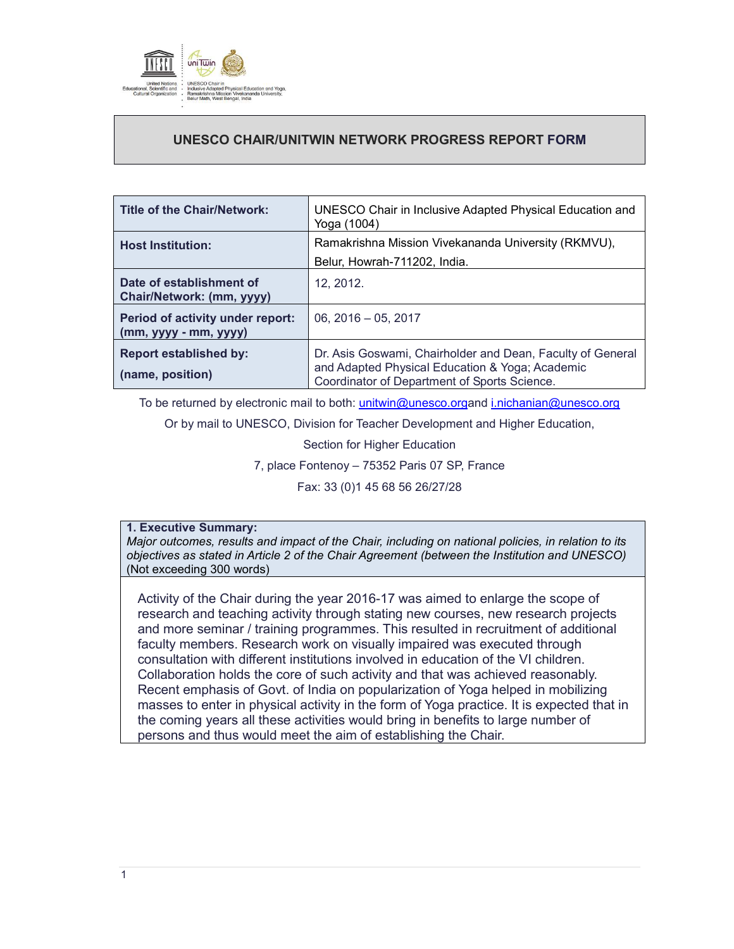

# **UNESCO CHAIR/UNITWIN NETWORK PROGRESS REPORT FORM**

| <b>Title of the Chair/Network:</b>                        | UNESCO Chair in Inclusive Adapted Physical Education and<br>Yoga (1004)                                                                                       |
|-----------------------------------------------------------|---------------------------------------------------------------------------------------------------------------------------------------------------------------|
| <b>Host Institution:</b>                                  | Ramakrishna Mission Vivekananda University (RKMVU),<br>Belur, Howrah-711202, India.                                                                           |
| Date of establishment of<br>Chair/Network: (mm, yyyy)     | 12, 2012.                                                                                                                                                     |
| Period of activity under report:<br>$(mm, yyy - mm, yyy)$ | $06, 2016 - 05, 2017$                                                                                                                                         |
| <b>Report established by:</b><br>(name, position)         | Dr. Asis Goswami, Chairholder and Dean, Faculty of General<br>and Adapted Physical Education & Yoga; Academic<br>Coordinator of Department of Sports Science. |

To be returned by electronic mail to both: unitwin@unesco.organd i.nichanian@unesco.org

Or by mail to UNESCO, Division for Teacher Development and Higher Education,

Section for Higher Education

7, place Fontenoy – 75352 Paris 07 SP, France

Fax: 33 (0)1 45 68 56 26/27/28

# **1. Executive Summary:**

*Major outcomes, results and impact of the Chair, including on national policies, in relation to its objectives as stated in Article 2 of the Chair Agreement (between the Institution and UNESCO)*  (Not exceeding 300 words)

Activity of the Chair during the year 2016-17 was aimed to enlarge the scope of research and teaching activity through stating new courses, new research projects and more seminar / training programmes. This resulted in recruitment of additional faculty members. Research work on visually impaired was executed through consultation with different institutions involved in education of the VI children. Collaboration holds the core of such activity and that was achieved reasonably. Recent emphasis of Govt. of India on popularization of Yoga helped in mobilizing masses to enter in physical activity in the form of Yoga practice. It is expected that in the coming years all these activities would bring in benefits to large number of persons and thus would meet the aim of establishing the Chair.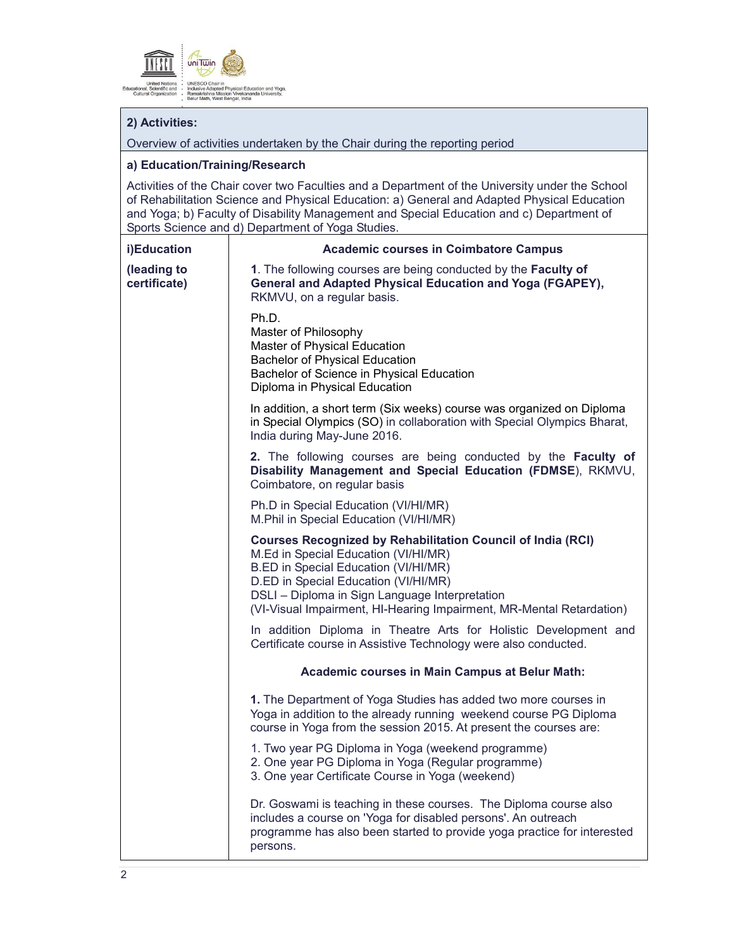

# **2) Activities:**

Overview of activities undertaken by the Chair during the reporting period

#### **a) Education/Training/Research**

Activities of the Chair cover two Faculties and a Department of the University under the School of Rehabilitation Science and Physical Education: a) General and Adapted Physical Education and Yoga; b) Faculty of Disability Management and Special Education and c) Department of Sports Science and d) Department of Yoga Studies.

# **i)Education (leading to certificate) Academic courses in Coimbatore Campus 1**. The following courses are being conducted by the **Faculty of General and Adapted Physical Education and Yoga (FGAPEY),** RKMVU, on a regular basis. Ph.D. Master of Philosophy Master of Physical Education Bachelor of Physical Education Bachelor of Science in Physical Education Diploma in Physical Education In addition, a short term (Six weeks) course was organized on Diploma in Special Olympics (SO) in collaboration with Special Olympics Bharat, India during May-June 2016. **2.** The following courses are being conducted by the **Faculty of Disability Management and Special Education (FDMSE**), RKMVU, Coimbatore, on regular basis Ph.D in Special Education (VI/HI/MR) M.Phil in Special Education (VI/HI/MR) **Courses Recognized by Rehabilitation Council of India (RCI)** M.Ed in Special Education (VI/HI/MR) B.ED in Special Education (VI/HI/MR) D.ED in Special Education (VI/HI/MR) DSLI – Diploma in Sign Language Interpretation (VI-Visual Impairment, HI-Hearing Impairment, MR-Mental Retardation) In addition Diploma in Theatre Arts for Holistic Development and Certificate course in Assistive Technology were also conducted. **Academic courses in Main Campus at Belur Math: 1.** The Department of Yoga Studies has added two more courses in Yoga in addition to the already running weekend course PG Diploma course in Yoga from the session 2015. At present the courses are: 1. Two year PG Diploma in Yoga (weekend programme) 2. One year PG Diploma in Yoga (Regular programme) 3. One year Certificate Course in Yoga (weekend) Dr. Goswami is teaching in these courses. The Diploma course also includes a course on 'Yoga for disabled persons'. An outreach programme has also been started to provide yoga practice for interested persons.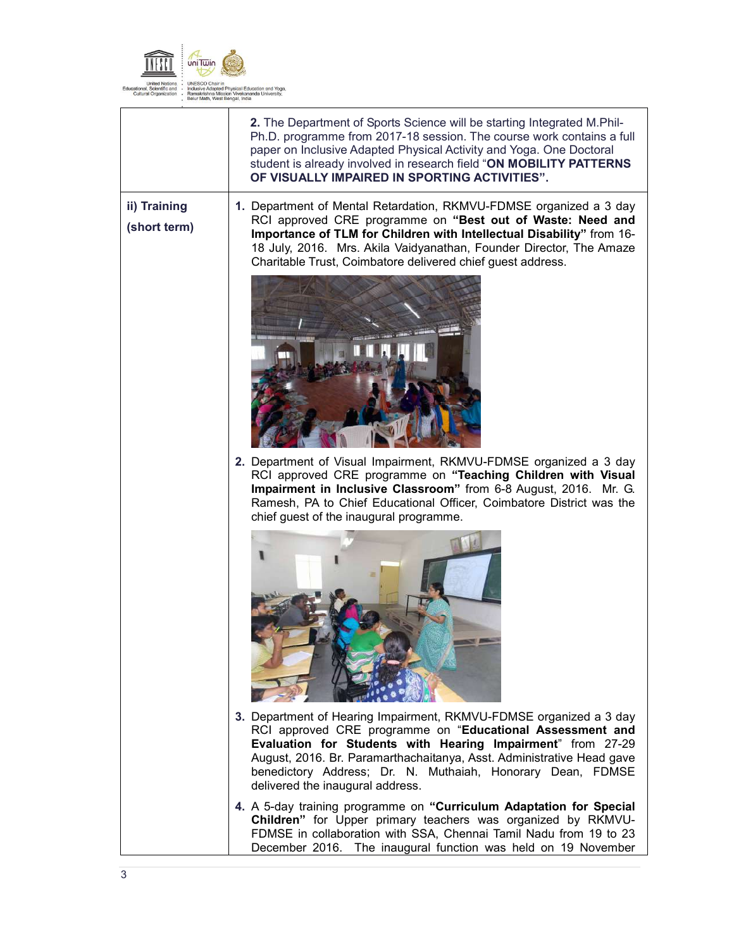

|                              | 2. The Department of Sports Science will be starting Integrated M.Phil-<br>Ph.D. programme from 2017-18 session. The course work contains a full<br>paper on Inclusive Adapted Physical Activity and Yoga. One Doctoral<br>student is already involved in research field "ON MOBILITY PATTERNS<br>OF VISUALLY IMPAIRED IN SPORTING ACTIVITIES".                           |
|------------------------------|---------------------------------------------------------------------------------------------------------------------------------------------------------------------------------------------------------------------------------------------------------------------------------------------------------------------------------------------------------------------------|
| ii) Training<br>(short term) | 1. Department of Mental Retardation, RKMVU-FDMSE organized a 3 day<br>RCI approved CRE programme on "Best out of Waste: Need and<br>Importance of TLM for Children with Intellectual Disability" from 16-<br>18 July, 2016. Mrs. Akila Vaidyanathan, Founder Director, The Amaze<br>Charitable Trust, Coimbatore delivered chief quest address.                           |
|                              |                                                                                                                                                                                                                                                                                                                                                                           |
|                              | 2. Department of Visual Impairment, RKMVU-FDMSE organized a 3 day<br>RCI approved CRE programme on "Teaching Children with Visual<br>Impairment in Inclusive Classroom" from 6-8 August, 2016. Mr. G.<br>Ramesh, PA to Chief Educational Officer, Coimbatore District was the<br>chief guest of the inaugural programme.                                                  |
|                              | 3. Department of Hearing Impairment, RKMVU-FDMSE organized a 3 day<br>RCI approved CRE programme on "Educational Assessment and<br>Evaluation for Students with Hearing Impairment" from 27-29<br>August, 2016. Br. Paramarthachaitanya, Asst. Administrative Head gave<br>benedictory Address; Dr. N. Muthaiah, Honorary Dean, FDMSE<br>delivered the inaugural address. |
|                              | 4. A 5-day training programme on "Curriculum Adaptation for Special<br>Children" for Upper primary teachers was organized by RKMVU-<br>FDMSE in collaboration with SSA, Chennai Tamil Nadu from 19 to 23<br>December 2016. The inaugural function was held on 19 November                                                                                                 |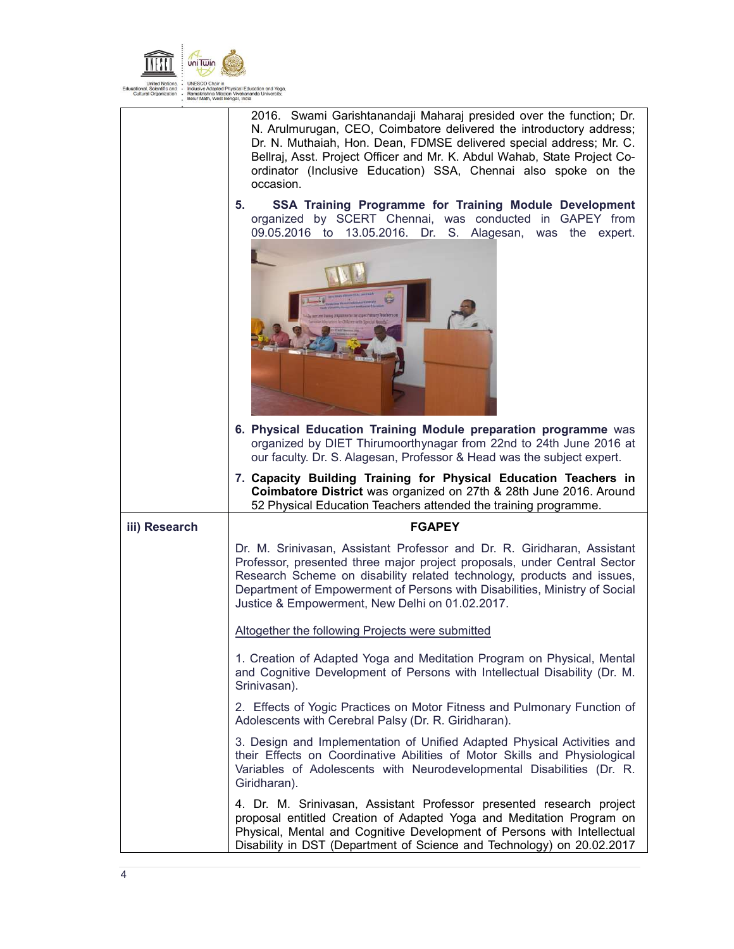

|               | 2016. Swami Garishtanandaji Maharaj presided over the function; Dr.<br>N. Arulmurugan, CEO, Coimbatore delivered the introductory address;<br>Dr. N. Muthaiah, Hon. Dean, FDMSE delivered special address; Mr. C.<br>Bellraj, Asst. Project Officer and Mr. K. Abdul Wahab, State Project Co-<br>ordinator (Inclusive Education) SSA, Chennai also spoke on the<br>occasion. |
|---------------|------------------------------------------------------------------------------------------------------------------------------------------------------------------------------------------------------------------------------------------------------------------------------------------------------------------------------------------------------------------------------|
|               | SSA Training Programme for Training Module Development<br>5.<br>organized by SCERT Chennai, was conducted in GAPEY from<br>09.05.2016 to 13.05.2016. Dr. S. Alagesan, was the expert.                                                                                                                                                                                        |
|               | 6. Physical Education Training Module preparation programme was<br>organized by DIET Thirumoorthynagar from 22nd to 24th June 2016 at<br>our faculty. Dr. S. Alagesan, Professor & Head was the subject expert.                                                                                                                                                              |
|               | 7. Capacity Building Training for Physical Education Teachers in<br>Coimbatore District was organized on 27th & 28th June 2016. Around<br>52 Physical Education Teachers attended the training programme.                                                                                                                                                                    |
| iii) Research | <b>FGAPEY</b>                                                                                                                                                                                                                                                                                                                                                                |
|               | Dr. M. Srinivasan, Assistant Professor and Dr. R. Giridharan, Assistant<br>Professor, presented three major project proposals, under Central Sector<br>Research Scheme on disability related technology, products and issues,<br>Department of Empowerment of Persons with Disabilities, Ministry of Social<br>Justice & Empowerment, New Delhi on 01.02.2017.               |
|               | Altogether the following Projects were submitted                                                                                                                                                                                                                                                                                                                             |
|               | 1. Creation of Adapted Yoga and Meditation Program on Physical, Mental<br>and Cognitive Development of Persons with Intellectual Disability (Dr. M.<br>Srinivasan).                                                                                                                                                                                                          |
|               | 2. Effects of Yogic Practices on Motor Fitness and Pulmonary Function of<br>Adolescents with Cerebral Palsy (Dr. R. Giridharan).                                                                                                                                                                                                                                             |
|               |                                                                                                                                                                                                                                                                                                                                                                              |
|               | 3. Design and Implementation of Unified Adapted Physical Activities and<br>their Effects on Coordinative Abilities of Motor Skills and Physiological<br>Variables of Adolescents with Neurodevelopmental Disabilities (Dr. R.<br>Giridharan).                                                                                                                                |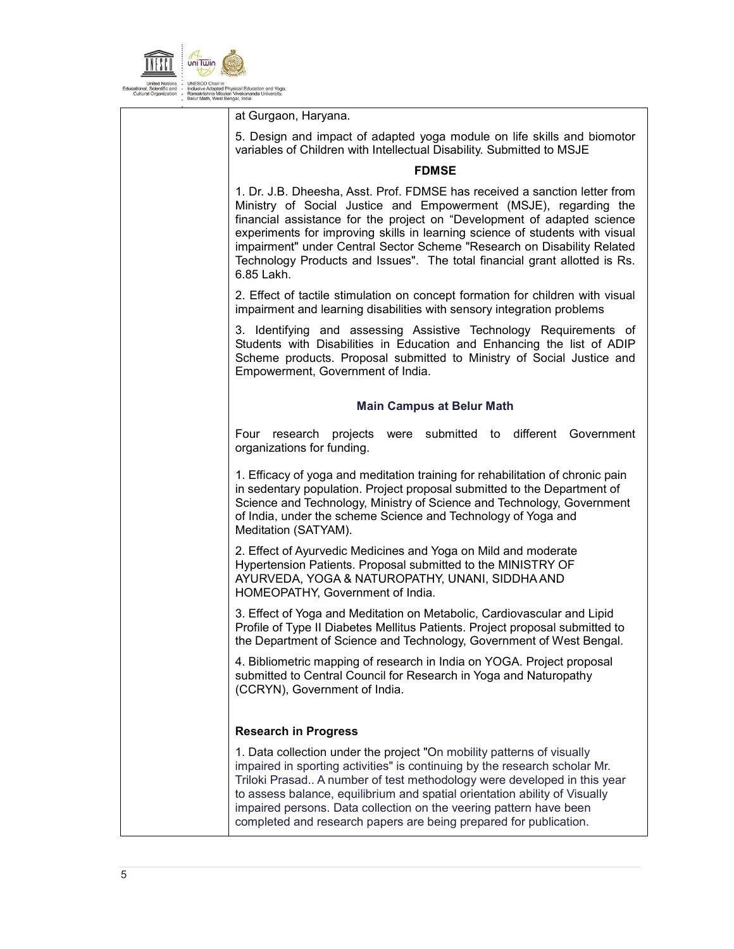

at Gurgaon, Haryana.

5. Design and impact of adapted yoga module on life skills and biomotor variables of Children with Intellectual Disability. Submitted to MSJE

### **FDMSE**

1. Dr. J.B. Dheesha, Asst. Prof. FDMSE has received a sanction letter from Ministry of Social Justice and Empowerment (MSJE), regarding the financial assistance for the project on "Development of adapted science experiments for improving skills in learning science of students with visual impairment" under Central Sector Scheme "Research on Disability Related Technology Products and Issues". The total financial grant allotted is Rs. 6.85 Lakh.

2. Effect of tactile stimulation on concept formation for children with visual impairment and learning disabilities with sensory integration problems

3. Identifying and assessing Assistive Technology Requirements of Students with Disabilities in Education and Enhancing the list of ADIP Scheme products. Proposal submitted to Ministry of Social Justice and Empowerment, Government of India.

### **Main Campus at Belur Math**

Four research projects were submitted to different Government organizations for funding.

1. Efficacy of yoga and meditation training for rehabilitation of chronic pain in sedentary population. Project proposal submitted to the Department of Science and Technology, Ministry of Science and Technology, Government of India, under the scheme Science and Technology of Yoga and Meditation (SATYAM).

2. Effect of Ayurvedic Medicines and Yoga on Mild and moderate Hypertension Patients. Proposal submitted to the MINISTRY OF AYURVEDA, YOGA & NATUROPATHY, UNANI, SIDDHA AND HOMEOPATHY, Government of India.

3. Effect of Yoga and Meditation on Metabolic, Cardiovascular and Lipid Profile of Type II Diabetes Mellitus Patients. Project proposal submitted to the Department of Science and Technology, Government of West Bengal.

4. Bibliometric mapping of research in India on YOGA. Project proposal submitted to Central Council for Research in Yoga and Naturopathy (CCRYN), Government of India.

# **Research in Progress**

1. Data collection under the project "On mobility patterns of visually impaired in sporting activities" is continuing by the research scholar Mr. Triloki Prasad.. A number of test methodology were developed in this year to assess balance, equilibrium and spatial orientation ability of Visually impaired persons. Data collection on the veering pattern have been completed and research papers are being prepared for publication.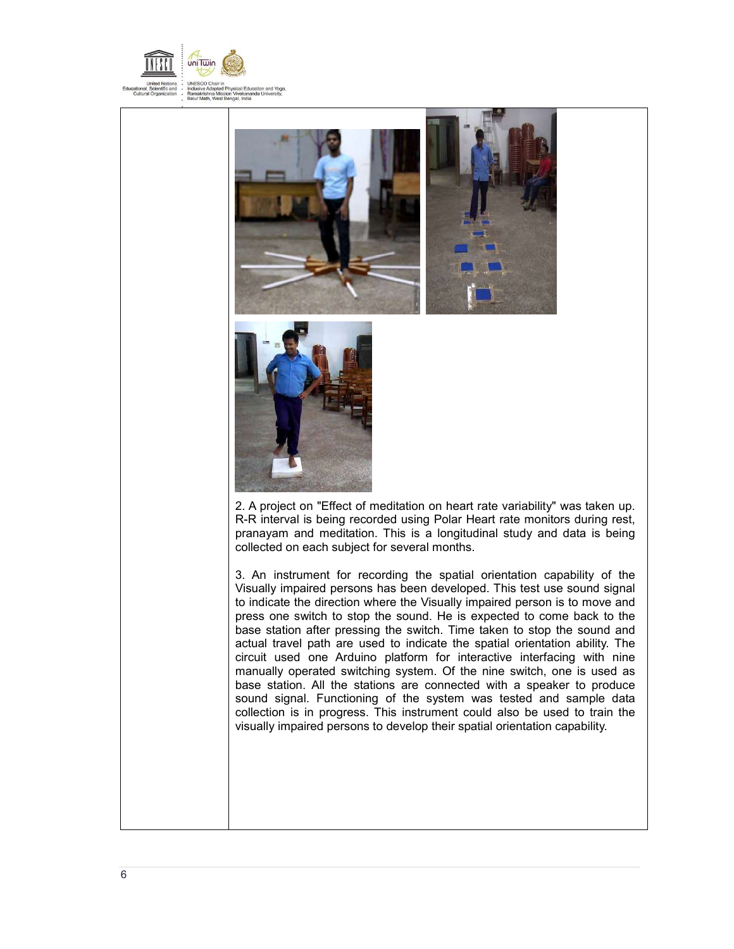





2. A project on "Effect of meditation on heart rate variability" was taken up. R-R interval is being recorded using Polar Heart rate monitors during rest, pranayam and meditation. This is a longitudinal study and data is being collected on each subject for several months.

3. An instrument for recording the spatial orientation capability of the Visually impaired persons has been developed. This test use sound signal to indicate the direction where the Visually impaired person is to move and press one switch to stop the sound. He is expected to come back to the base station after pressing the switch. Time taken to stop the sound and actual travel path are used to indicate the spatial orientation ability. The circuit used one Arduino platform for interactive interfacing with nine manually operated switching system. Of the nine switch, one is used as base station. All the stations are connected with a speaker to produce sound signal. Functioning of the system was tested and sample data collection is in progress. This instrument could also be used to train the visually impaired persons to develop their spatial orientation capability.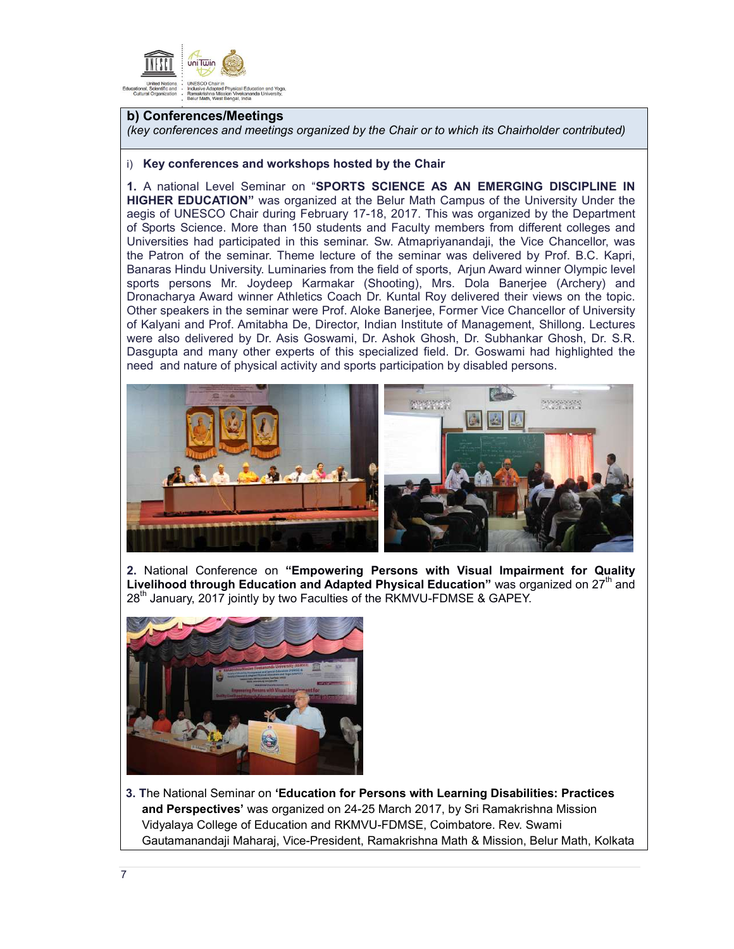

### **b) Conferences/Meetings**

*(key conferences and meetings organized by the Chair or to which its Chairholder contributed)* 

#### i) **Key conferences and workshops hosted by the Chair**

**1.** A national Level Seminar on "**SPORTS SCIENCE AS AN EMERGING DISCIPLINE IN HIGHER EDUCATION"** was organized at the Belur Math Campus of the University Under the aegis of UNESCO Chair during February 17-18, 2017. This was organized by the Department of Sports Science. More than 150 students and Faculty members from different colleges and Universities had participated in this seminar. Sw. Atmapriyanandaji, the Vice Chancellor, was the Patron of the seminar. Theme lecture of the seminar was delivered by Prof. B.C. Kapri, Banaras Hindu University. Luminaries from the field of sports, Arjun Award winner Olympic level sports persons Mr. Joydeep Karmakar (Shooting), Mrs. Dola Banerjee (Archery) and Dronacharya Award winner Athletics Coach Dr. Kuntal Roy delivered their views on the topic. Other speakers in the seminar were Prof. Aloke Banerjee, Former Vice Chancellor of University of Kalyani and Prof. Amitabha De, Director, Indian Institute of Management, Shillong. Lectures were also delivered by Dr. Asis Goswami, Dr. Ashok Ghosh, Dr. Subhankar Ghosh, Dr. S.R. Dasgupta and many other experts of this specialized field. Dr. Goswami had highlighted the need and nature of physical activity and sports participation by disabled persons.



**2.** National Conference on **"Empowering Persons with Visual Impairment for Quality Livelihood through Education and Adapted Physical Education"** was organized on 27<sup>th</sup> and 28<sup>th</sup> January, 2017 jointly by two Faculties of the RKMVU-FDMSE & GAPEY.



**3. T**he National Seminar on **'Education for Persons with Learning Disabilities: Practices and Perspectives'** was organized on 24-25 March 2017, by Sri Ramakrishna Mission Vidyalaya College of Education and RKMVU-FDMSE, Coimbatore. Rev. Swami Gautamanandaji Maharaj, Vice-President, Ramakrishna Math & Mission, Belur Math, Kolkata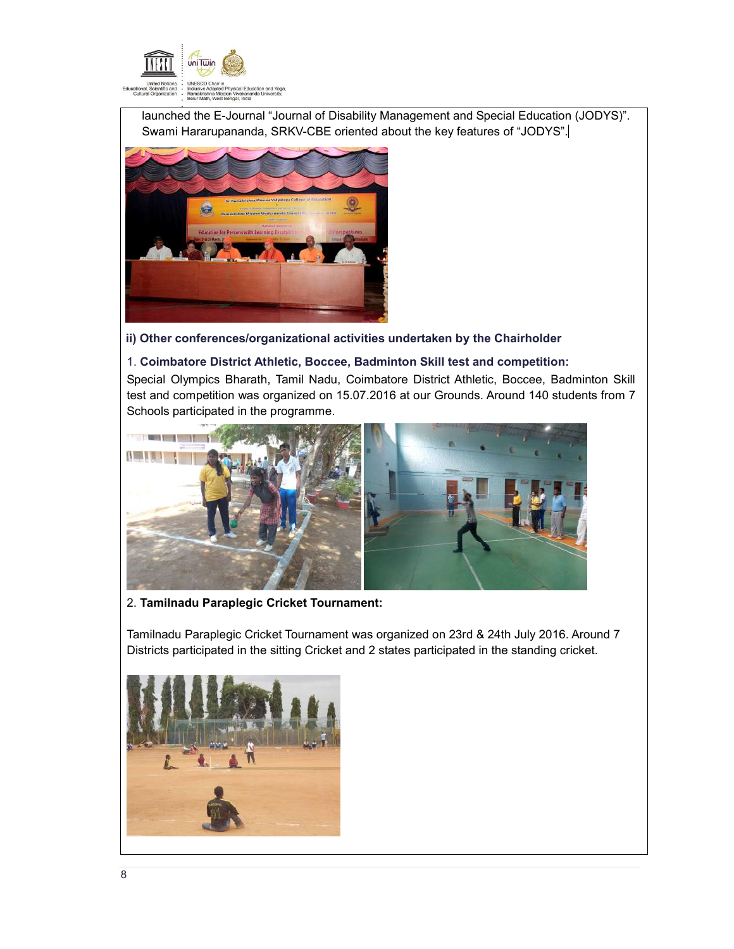

launched the E-Journal "Journal of Disability Management and Special Education (JODYS)". Swami Hararupananda, SRKV-CBE oriented about the key features of "JODYS".



# **ii) Other conferences/organizational activities undertaken by the Chairholder**

### 1. **Coimbatore District Athletic, Boccee, Badminton Skill test and competition:**

Special Olympics Bharath, Tamil Nadu, Coimbatore District Athletic, Boccee, Badminton Skill test and competition was organized on 15.07.2016 at our Grounds. Around 140 students from 7 Schools participated in the programme.



2. **Tamilnadu Paraplegic Cricket Tournament:**

Tamilnadu Paraplegic Cricket Tournament was organized on 23rd & 24th July 2016. Around 7 Districts participated in the sitting Cricket and 2 states participated in the standing cricket.

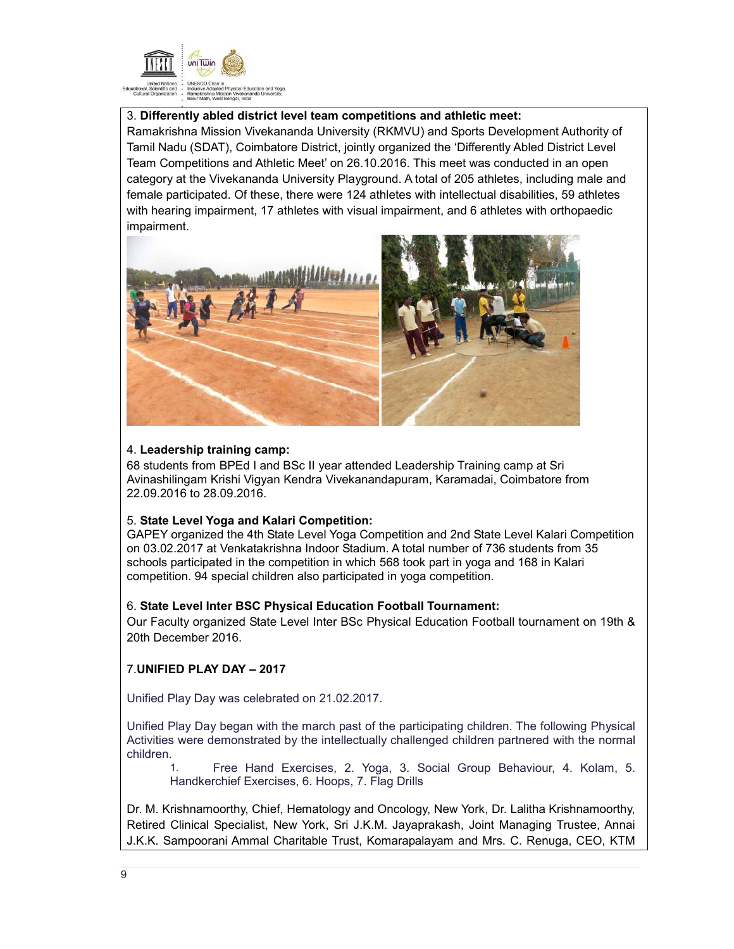

# 3. **Differently abled district level team competitions and athletic meet:**

Ramakrishna Mission Vivekananda University (RKMVU) and Sports Development Authority of Tamil Nadu (SDAT), Coimbatore District, jointly organized the 'Differently Abled District Level Team Competitions and Athletic Meet' on 26.10.2016. This meet was conducted in an open category at the Vivekananda University Playground. A total of 205 athletes, including male and female participated. Of these, there were 124 athletes with intellectual disabilities, 59 athletes with hearing impairment, 17 athletes with visual impairment, and 6 athletes with orthopaedic impairment.



### 4. **Leadership training camp:**

68 students from BPEd I and BSc II year attended Leadership Training camp at Sri Avinashilingam Krishi Vigyan Kendra Vivekanandapuram, Karamadai, Coimbatore from 22.09.2016 to 28.09.2016.

# 5. **State Level Yoga and Kalari Competition:**

GAPEY organized the 4th State Level Yoga Competition and 2nd State Level Kalari Competition on 03.02.2017 at Venkatakrishna Indoor Stadium. A total number of 736 students from 35 schools participated in the competition in which 568 took part in yoga and 168 in Kalari competition. 94 special children also participated in yoga competition.

# 6. **State Level Inter BSC Physical Education Football Tournament:**

Our Faculty organized State Level Inter BSc Physical Education Football tournament on 19th & 20th December 2016.

# 7.**UNIFIED PLAY DAY – 2017**

Unified Play Day was celebrated on 21.02.2017.

Unified Play Day began with the march past of the participating children. The following Physical Activities were demonstrated by the intellectually challenged children partnered with the normal children.

1. Free Hand Exercises, 2. Yoga, 3. Social Group Behaviour, 4. Kolam, 5. Handkerchief Exercises, 6. Hoops, 7. Flag Drills

Dr. M. Krishnamoorthy, Chief, Hematology and Oncology, New York, Dr. Lalitha Krishnamoorthy, Retired Clinical Specialist, New York, Sri J.K.M. Jayaprakash, Joint Managing Trustee, Annai J.K.K. Sampoorani Ammal Charitable Trust, Komarapalayam and Mrs. C. Renuga, CEO, KTM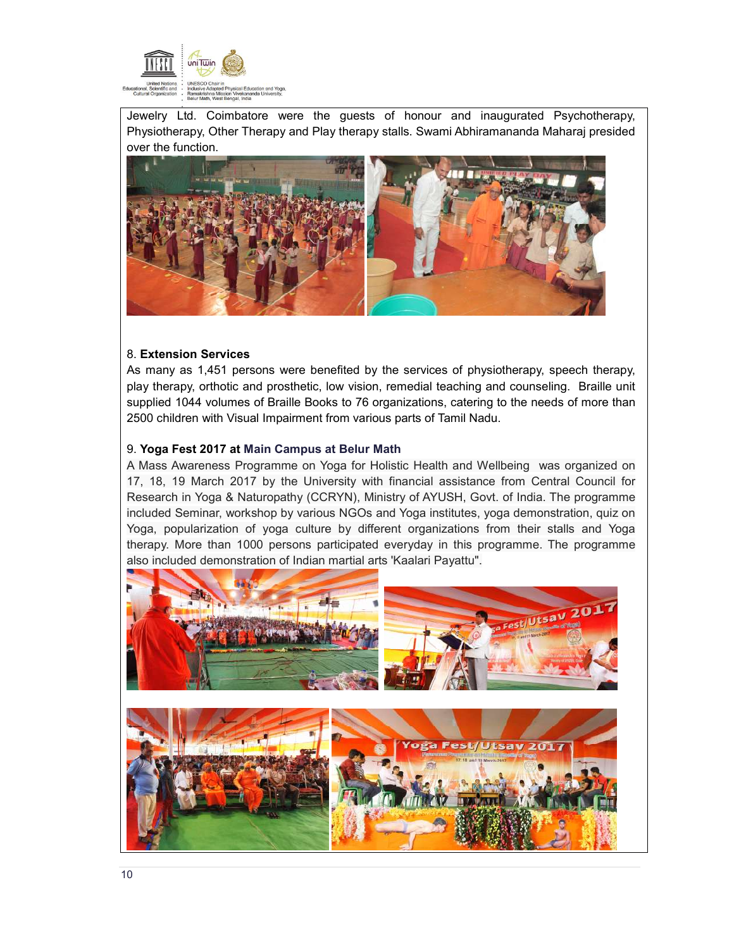

Jewelry Ltd. Coimbatore were the guests of honour and inaugurated Psychotherapy, Physiotherapy, Other Therapy and Play therapy stalls. Swami Abhiramananda Maharaj presided over the function.



# 8. **Extension Services**

As many as 1,451 persons were benefited by the services of physiotherapy, speech therapy, play therapy, orthotic and prosthetic, low vision, remedial teaching and counseling. Braille unit supplied 1044 volumes of Braille Books to 76 organizations, catering to the needs of more than 2500 children with Visual Impairment from various parts of Tamil Nadu.

#### 9. **Yoga Fest 2017 at Main Campus at Belur Math**

A Mass Awareness Programme on Yoga for Holistic Health and Wellbeing was organized on 17, 18, 19 March 2017 by the University with financial assistance from Central Council for Research in Yoga & Naturopathy (CCRYN), Ministry of AYUSH, Govt. of India. The programme included Seminar, workshop by various NGOs and Yoga institutes, yoga demonstration, quiz on Yoga, popularization of yoga culture by different organizations from their stalls and Yoga therapy. More than 1000 persons participated everyday in this programme. The programme also included demonstration of Indian martial arts 'Kaalari Payattu".

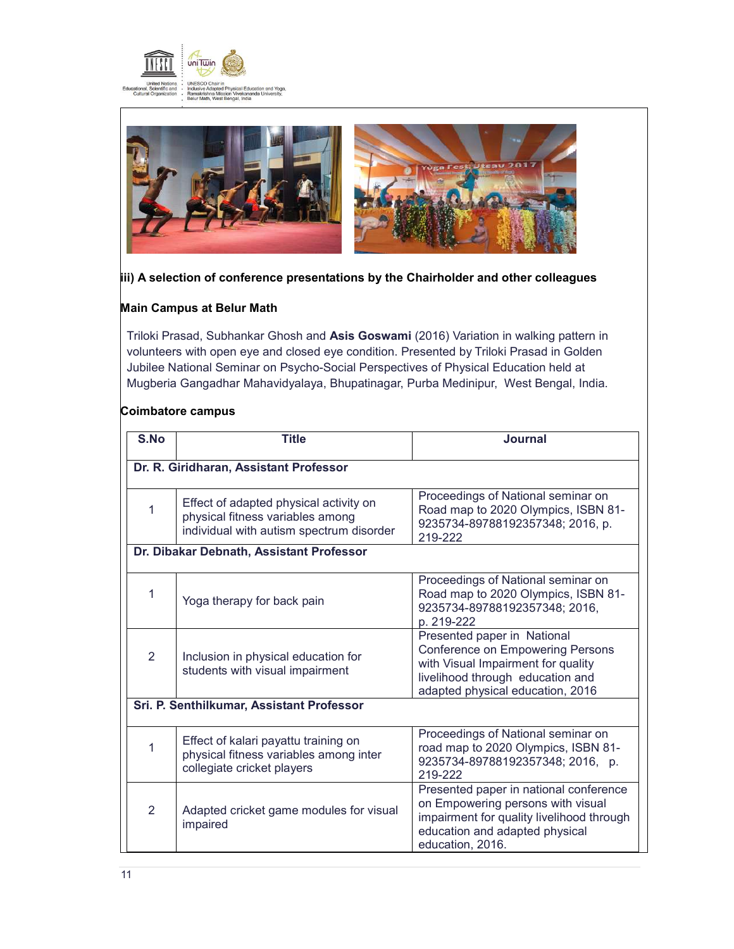



### **iii) A selection of conference presentations by the Chairholder and other colleagues**

# **Main Campus at Belur Math**

Triloki Prasad, Subhankar Ghosh and **Asis Goswami** (2016) Variation in walking pattern in volunteers with open eye and closed eye condition. Presented by Triloki Prasad in Golden Jubilee National Seminar on Psycho-Social Perspectives of Physical Education held at Mugberia Gangadhar Mahavidyalaya, Bhupatinagar, Purba Medinipur, West Bengal, India.

### **Coimbatore campus**

| S.No                                      | <b>Title</b>                                                                                                           | <b>Journal</b>                                                                                                                                                                       |  |  |  |  |
|-------------------------------------------|------------------------------------------------------------------------------------------------------------------------|--------------------------------------------------------------------------------------------------------------------------------------------------------------------------------------|--|--|--|--|
|                                           | Dr. R. Giridharan, Assistant Professor                                                                                 |                                                                                                                                                                                      |  |  |  |  |
| 1                                         | Effect of adapted physical activity on<br>physical fitness variables among<br>individual with autism spectrum disorder | Proceedings of National seminar on<br>Road map to 2020 Olympics, ISBN 81-<br>9235734-89788192357348; 2016, p.<br>219-222                                                             |  |  |  |  |
|                                           | Dr. Dibakar Debnath, Assistant Professor                                                                               |                                                                                                                                                                                      |  |  |  |  |
| 1                                         | Yoga therapy for back pain                                                                                             | Proceedings of National seminar on<br>Road map to 2020 Olympics, ISBN 81-<br>9235734-89788192357348; 2016,<br>p. 219-222                                                             |  |  |  |  |
| 2                                         | Inclusion in physical education for<br>students with visual impairment                                                 | Presented paper in National<br><b>Conference on Empowering Persons</b><br>with Visual Impairment for quality<br>livelihood through education and<br>adapted physical education, 2016 |  |  |  |  |
| Sri. P. Senthilkumar, Assistant Professor |                                                                                                                        |                                                                                                                                                                                      |  |  |  |  |
| 1                                         | Effect of kalari payattu training on<br>physical fitness variables among inter<br>collegiate cricket players           | Proceedings of National seminar on<br>road map to 2020 Olympics, ISBN 81-<br>9235734-89788192357348; 2016, p.<br>219-222                                                             |  |  |  |  |
| 2                                         | Adapted cricket game modules for visual<br>impaired                                                                    | Presented paper in national conference<br>on Empowering persons with visual<br>impairment for quality livelihood through<br>education and adapted physical<br>education, 2016.       |  |  |  |  |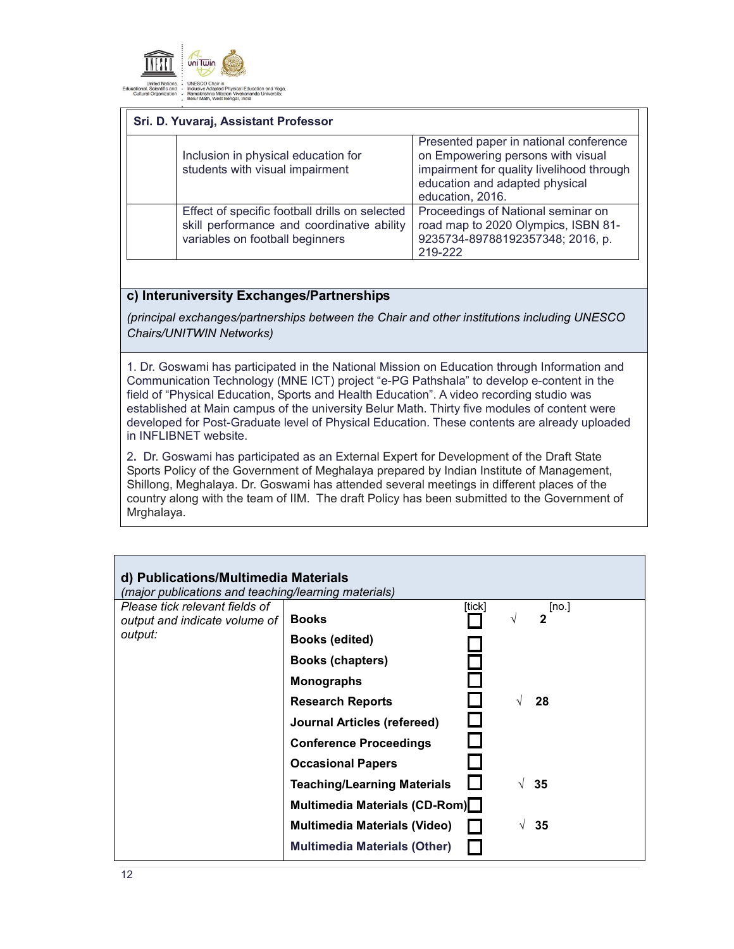

| Sri. D. Yuvaraj, Assistant Professor                                                                                            |                                                                                                                                                                                |  |  |
|---------------------------------------------------------------------------------------------------------------------------------|--------------------------------------------------------------------------------------------------------------------------------------------------------------------------------|--|--|
| Inclusion in physical education for<br>students with visual impairment                                                          | Presented paper in national conference<br>on Empowering persons with visual<br>impairment for quality livelihood through<br>education and adapted physical<br>education, 2016. |  |  |
| Effect of specific football drills on selected<br>skill performance and coordinative ability<br>variables on football beginners | Proceedings of National seminar on<br>road map to 2020 Olympics, ISBN 81-<br>9235734-89788192357348; 2016, p.<br>219-222                                                       |  |  |

# **c) Interuniversity Exchanges/Partnerships**

*(principal exchanges/partnerships between the Chair and other institutions including UNESCO Chairs/UNITWIN Networks)*

1. Dr. Goswami has participated in the National Mission on Education through Information and Communication Technology (MNE ICT) project "e-PG Pathshala" to develop e-content in the field of "Physical Education, Sports and Health Education". A video recording studio was established at Main campus of the university Belur Math. Thirty five modules of content were developed for Post-Graduate level of Physical Education. These contents are already uploaded in INFLIBNET website.

2**.** Dr. Goswami has participated as an External Expert for Development of the Draft State Sports Policy of the Government of Meghalaya prepared by Indian Institute of Management, Shillong, Meghalaya. Dr. Goswami has attended several meetings in different places of the country along with the team of IIM. The draft Policy has been submitted to the Government of Mrghalaya.

| d) Publications/Multimedia Materials<br>(major publications and teaching/learning materials) |                                     |        |            |                       |  |  |
|----------------------------------------------------------------------------------------------|-------------------------------------|--------|------------|-----------------------|--|--|
| Please tick relevant fields of<br>output and indicate volume of                              | <b>Books</b>                        | [tick] | V          | [no.]<br>$\mathbf{c}$ |  |  |
| output:                                                                                      | <b>Books (edited)</b>               |        |            |                       |  |  |
|                                                                                              | Books (chapters)                    |        |            |                       |  |  |
|                                                                                              | <b>Monographs</b>                   |        |            |                       |  |  |
|                                                                                              | <b>Research Reports</b>             |        |            | 28                    |  |  |
|                                                                                              | Journal Articles (refereed)         |        |            |                       |  |  |
|                                                                                              | <b>Conference Proceedings</b>       |        |            |                       |  |  |
|                                                                                              | <b>Occasional Papers</b>            |        |            |                       |  |  |
|                                                                                              | <b>Teaching/Learning Materials</b>  |        |            | 35                    |  |  |
|                                                                                              | Multimedia Materials (CD-Rom)       |        |            |                       |  |  |
|                                                                                              | <b>Multimedia Materials (Video)</b> |        | $\sqrt{ }$ | 35                    |  |  |
|                                                                                              | <b>Multimedia Materials (Other)</b> |        |            |                       |  |  |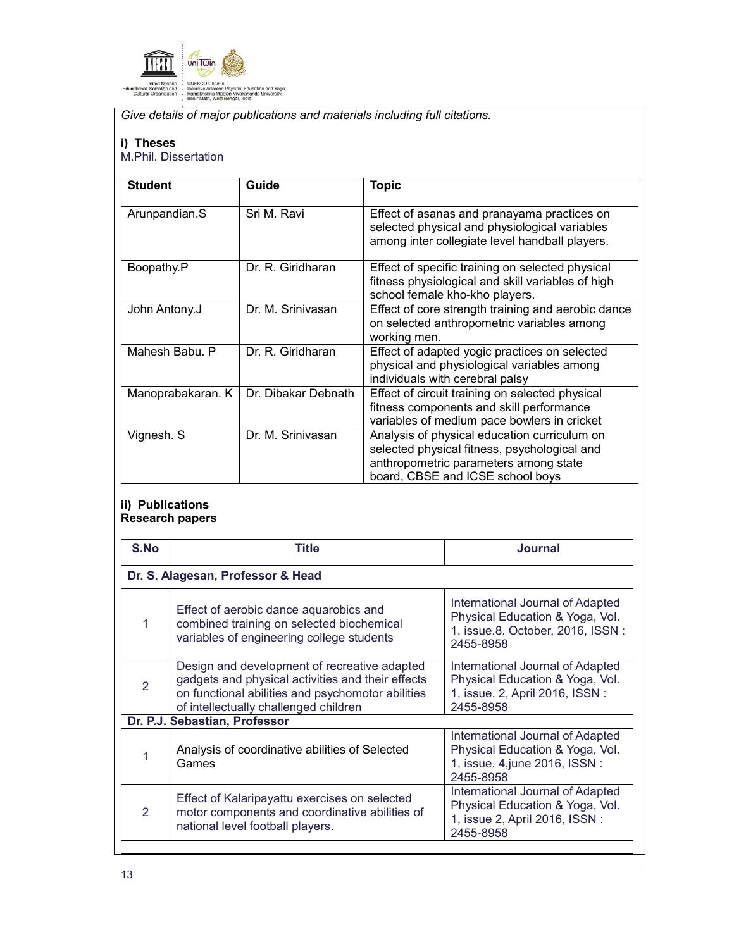

*Give details of major publications and materials including full citations.* 

### **i) Theses**

M.Phil. Dissertation

| <b>Student</b>    | Guide               | <b>Topic</b>                                                                                                                                                              |
|-------------------|---------------------|---------------------------------------------------------------------------------------------------------------------------------------------------------------------------|
| Arunpandian.S     | Sri M. Ravi         | Effect of asanas and pranayama practices on<br>selected physical and physiological variables<br>among inter collegiate level handball players.                            |
| Boopathy.P        | Dr. R. Giridharan   | Effect of specific training on selected physical<br>fitness physiological and skill variables of high<br>school female kho-kho players.                                   |
| John Antony.J     | Dr. M. Srinivasan   | Effect of core strength training and aerobic dance<br>on selected anthropometric variables among<br>working men.                                                          |
| Mahesh Babu, P    | Dr. R. Giridharan   | Effect of adapted yogic practices on selected<br>physical and physiological variables among<br>individuals with cerebral palsy                                            |
| Manoprabakaran. K | Dr. Dibakar Debnath | Effect of circuit training on selected physical<br>fitness components and skill performance<br>variables of medium pace bowlers in cricket                                |
| Vignesh. S        | Dr. M. Srinivasan   | Analysis of physical education curriculum on<br>selected physical fitness, psychological and<br>anthropometric parameters among state<br>board, CBSE and ICSE school boys |

# **ii) Publications Research papers**

| Title                                                                                                                                                                                           | Journal                                                                                                              |  |  |  |  |
|-------------------------------------------------------------------------------------------------------------------------------------------------------------------------------------------------|----------------------------------------------------------------------------------------------------------------------|--|--|--|--|
| Dr. S. Alagesan, Professor & Head                                                                                                                                                               |                                                                                                                      |  |  |  |  |
| Effect of aerobic dance aquarobics and<br>combined training on selected biochemical<br>variables of engineering college students                                                                | International Journal of Adapted<br>Physical Education & Yoga, Vol.<br>1, issue.8. October, 2016, ISSN:<br>2455-8958 |  |  |  |  |
| Design and development of recreative adapted<br>gadgets and physical activities and their effects<br>on functional abilities and psychomotor abilities<br>of intellectually challenged children | International Journal of Adapted<br>Physical Education & Yoga, Vol.<br>1, issue. 2, April 2016, ISSN:<br>2455-8958   |  |  |  |  |
| Dr. P.J. Sebastian, Professor                                                                                                                                                                   |                                                                                                                      |  |  |  |  |
| Analysis of coordinative abilities of Selected<br>Games                                                                                                                                         | International Journal of Adapted<br>Physical Education & Yoga, Vol.<br>1, issue. 4, june 2016, ISSN :<br>2455-8958   |  |  |  |  |
| Effect of Kalaripayattu exercises on selected<br>motor components and coordinative abilities of<br>national level football players.                                                             | International Journal of Adapted<br>Physical Education & Yoga, Vol.<br>1, issue 2, April 2016, ISSN :<br>2455-8958   |  |  |  |  |
|                                                                                                                                                                                                 |                                                                                                                      |  |  |  |  |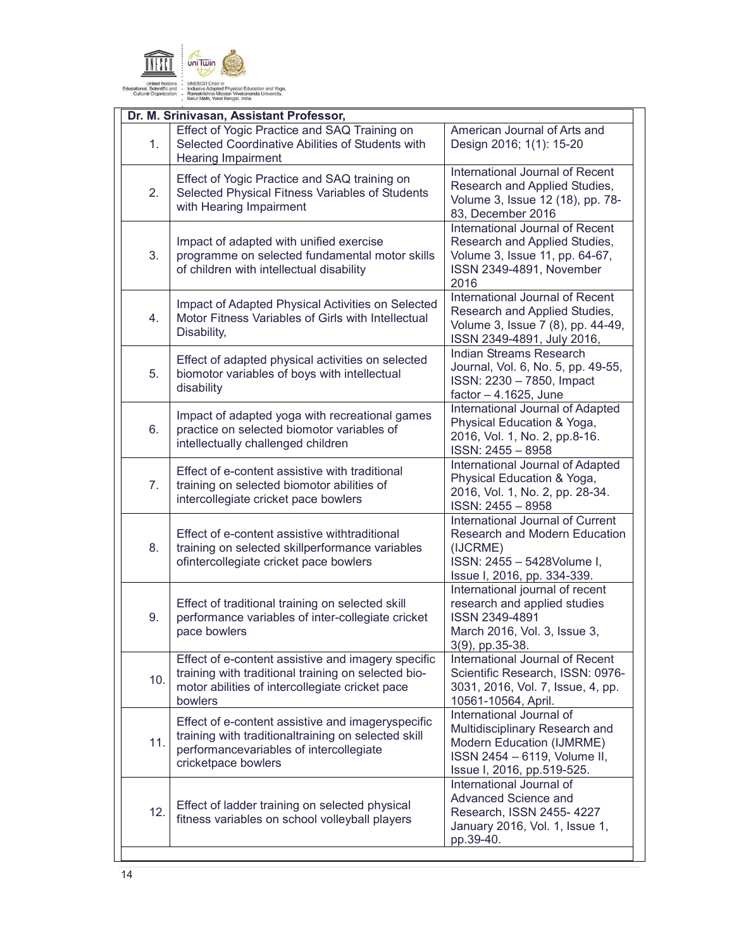

|     | Dr. M. Srinivasan, Assistant Professor,                                                                                                                                    |                                                                                                                                                       |
|-----|----------------------------------------------------------------------------------------------------------------------------------------------------------------------------|-------------------------------------------------------------------------------------------------------------------------------------------------------|
| 1.  | Effect of Yogic Practice and SAQ Training on<br>Selected Coordinative Abilities of Students with<br><b>Hearing Impairment</b>                                              | American Journal of Arts and<br>Design 2016; 1(1): 15-20                                                                                              |
| 2.  | Effect of Yogic Practice and SAQ training on<br>Selected Physical Fitness Variables of Students<br>with Hearing Impairment                                                 | International Journal of Recent<br>Research and Applied Studies,<br>Volume 3, Issue 12 (18), pp. 78-<br>83, December 2016                             |
| 3.  | Impact of adapted with unified exercise<br>programme on selected fundamental motor skills<br>of children with intellectual disability                                      | International Journal of Recent<br>Research and Applied Studies,<br>Volume 3, Issue 11, pp. 64-67,<br>ISSN 2349-4891, November<br>2016                |
| 4.  | Impact of Adapted Physical Activities on Selected<br>Motor Fitness Variables of Girls with Intellectual<br>Disability,                                                     | International Journal of Recent<br>Research and Applied Studies,<br>Volume 3, Issue 7 (8), pp. 44-49,<br>ISSN 2349-4891, July 2016,                   |
| 5.  | Effect of adapted physical activities on selected<br>biomotor variables of boys with intellectual<br>disability                                                            | Indian Streams Research<br>Journal, Vol. 6, No. 5, pp. 49-55,<br>ISSN: 2230 - 7850, Impact<br>factor $-4.1625$ , June                                 |
| 6.  | Impact of adapted yoga with recreational games<br>practice on selected biomotor variables of<br>intellectually challenged children                                         | International Journal of Adapted<br>Physical Education & Yoga,<br>2016, Vol. 1, No. 2, pp.8-16.<br>ISSN: 2455 - 8958                                  |
| 7.  | Effect of e-content assistive with traditional<br>training on selected biomotor abilities of<br>intercollegiate cricket pace bowlers                                       | International Journal of Adapted<br>Physical Education & Yoga,<br>2016, Vol. 1, No. 2, pp. 28-34.<br>ISSN: 2455 - 8958                                |
| 8.  | Effect of e-content assistive withtraditional<br>training on selected skillperformance variables<br>ofintercollegiate cricket pace bowlers                                 | International Journal of Current<br><b>Research and Modern Education</b><br>(IJCRME)<br>ISSN: 2455 - 5428Volume I,<br>Issue I, 2016, pp. 334-339.     |
| 9.  | Effect of traditional training on selected skill<br>performance variables of inter-collegiate cricket<br>pace bowlers                                                      | International journal of recent<br>research and applied studies<br>ISSN 2349-4891<br>March 2016, Vol. 3, Issue 3,<br>3(9), pp.35-38.                  |
| 10. | Effect of e-content assistive and imagery specific<br>training with traditional training on selected bio-<br>motor abilities of intercollegiate cricket pace<br>bowlers    | International Journal of Recent<br>Scientific Research, ISSN: 0976-<br>3031, 2016, Vol. 7, Issue, 4, pp.<br>10561-10564, April.                       |
| 11. | Effect of e-content assistive and imageryspecific<br>training with traditionaltraining on selected skill<br>performancevariables of intercollegiate<br>cricketpace bowlers | International Journal of<br>Multidisciplinary Research and<br>Modern Education (IJMRME)<br>ISSN 2454 - 6119, Volume II,<br>Issue I, 2016, pp.519-525. |
| 12. | Effect of ladder training on selected physical<br>fitness variables on school volleyball players                                                                           | International Journal of<br>Advanced Science and<br>Research, ISSN 2455-4227<br>January 2016, Vol. 1, Issue 1,<br>pp.39-40.                           |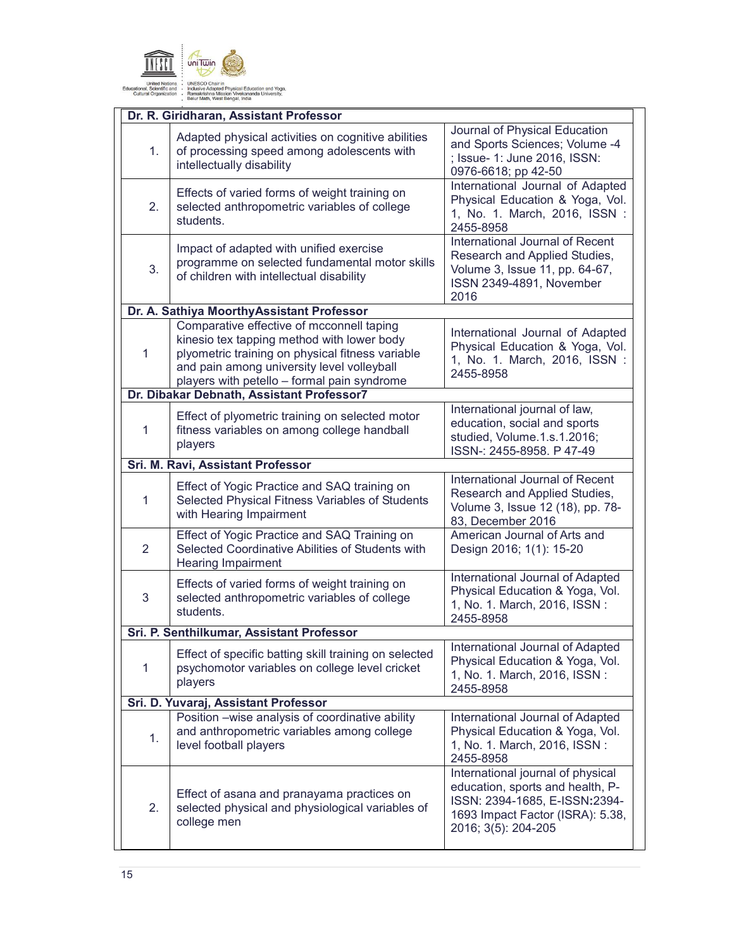

|                                      | Dr. R. Giridharan, Assistant Professor                                                                                                                                                                                                   |                                                                                                                                                                   |  |  |
|--------------------------------------|------------------------------------------------------------------------------------------------------------------------------------------------------------------------------------------------------------------------------------------|-------------------------------------------------------------------------------------------------------------------------------------------------------------------|--|--|
| 1.                                   | Adapted physical activities on cognitive abilities<br>of processing speed among adolescents with<br>intellectually disability                                                                                                            | Journal of Physical Education<br>and Sports Sciences; Volume -4<br>; Issue- 1: June 2016, ISSN:<br>0976-6618; pp 42-50                                            |  |  |
| 2.                                   | Effects of varied forms of weight training on<br>selected anthropometric variables of college<br>students.                                                                                                                               | International Journal of Adapted<br>Physical Education & Yoga, Vol.<br>1, No. 1. March, 2016, ISSN:<br>2455-8958                                                  |  |  |
| 3.                                   | Impact of adapted with unified exercise<br>programme on selected fundamental motor skills<br>of children with intellectual disability                                                                                                    | International Journal of Recent<br>Research and Applied Studies,<br>Volume 3, Issue 11, pp. 64-67,<br>ISSN 2349-4891, November<br>2016                            |  |  |
|                                      | Dr. A. Sathiya MoorthyAssistant Professor                                                                                                                                                                                                |                                                                                                                                                                   |  |  |
| 1                                    | Comparative effective of mcconnell taping<br>kinesio tex tapping method with lower body<br>plyometric training on physical fitness variable<br>and pain among university level volleyball<br>players with petello - formal pain syndrome | International Journal of Adapted<br>Physical Education & Yoga, Vol.<br>1, No. 1. March, 2016, ISSN:<br>2455-8958                                                  |  |  |
|                                      | Dr. Dibakar Debnath, Assistant Professor7                                                                                                                                                                                                |                                                                                                                                                                   |  |  |
| 1                                    | Effect of plyometric training on selected motor<br>fitness variables on among college handball<br>players                                                                                                                                | International journal of law,<br>education, social and sports<br>studied, Volume.1.s.1.2016;<br>ISSN-: 2455-8958. P 47-49                                         |  |  |
|                                      | Sri. M. Ravi, Assistant Professor                                                                                                                                                                                                        |                                                                                                                                                                   |  |  |
| 1                                    | Effect of Yogic Practice and SAQ training on<br>Selected Physical Fitness Variables of Students<br>with Hearing Impairment                                                                                                               | International Journal of Recent<br>Research and Applied Studies,<br>Volume 3, Issue 12 (18), pp. 78-<br>83, December 2016                                         |  |  |
| 2                                    | Effect of Yogic Practice and SAQ Training on<br>Selected Coordinative Abilities of Students with<br><b>Hearing Impairment</b>                                                                                                            | American Journal of Arts and<br>Design 2016; 1(1): 15-20                                                                                                          |  |  |
| 3                                    | Effects of varied forms of weight training on<br>selected anthropometric variables of college<br>students.                                                                                                                               | International Journal of Adapted<br>Physical Education & Yoga, Vol.<br>1, No. 1. March, 2016, ISSN:<br>2455-8958                                                  |  |  |
|                                      | Sri. P. Senthilkumar, Assistant Professor                                                                                                                                                                                                |                                                                                                                                                                   |  |  |
| 1                                    | Effect of specific batting skill training on selected<br>psychomotor variables on college level cricket<br>players                                                                                                                       | International Journal of Adapted<br>Physical Education & Yoga, Vol.<br>1, No. 1. March, 2016, ISSN:<br>2455-8958                                                  |  |  |
| Sri. D. Yuvaraj, Assistant Professor |                                                                                                                                                                                                                                          |                                                                                                                                                                   |  |  |
| 1.                                   | Position -wise analysis of coordinative ability<br>and anthropometric variables among college<br>level football players                                                                                                                  | International Journal of Adapted<br>Physical Education & Yoga, Vol.<br>1, No. 1. March, 2016, ISSN:<br>2455-8958                                                  |  |  |
| 2.                                   | Effect of asana and pranayama practices on<br>selected physical and physiological variables of<br>college men                                                                                                                            | International journal of physical<br>education, sports and health, P-<br>ISSN: 2394-1685, E-ISSN:2394-<br>1693 Impact Factor (ISRA): 5.38,<br>2016; 3(5): 204-205 |  |  |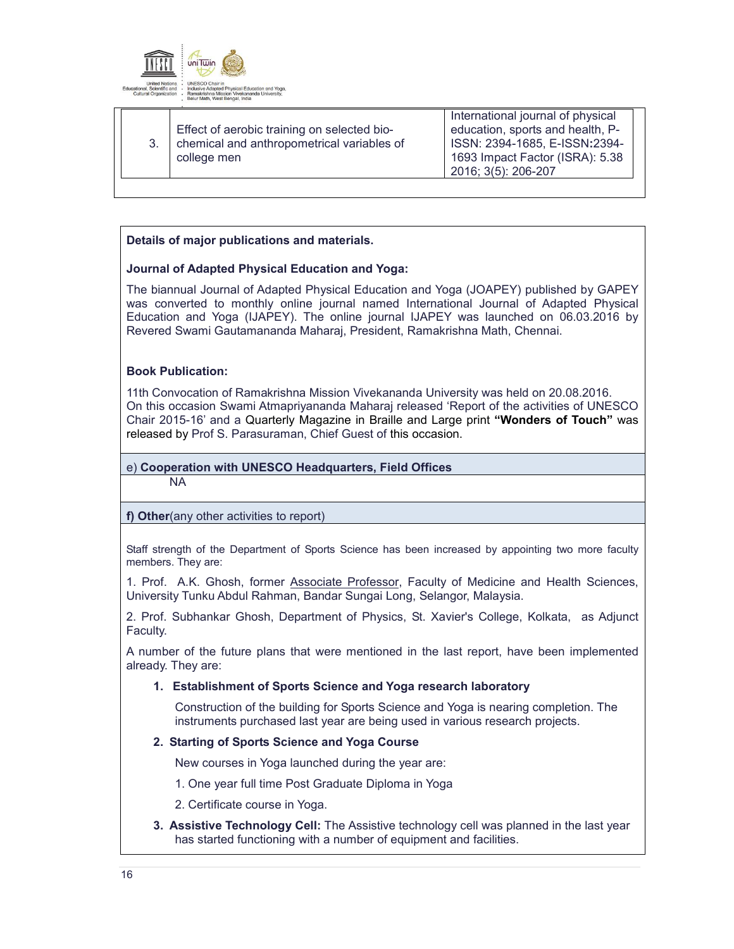

| Effect of aerobic training on selected bio-<br>chemical and anthropometrical variables of<br>college men | International journal of physical<br>education, sports and health, P-<br>ISSN: 2394-1685, E-ISSN:2394-<br>1693 Impact Factor (ISRA): 5.38<br>2016; 3(5): 206-207 |
|----------------------------------------------------------------------------------------------------------|------------------------------------------------------------------------------------------------------------------------------------------------------------------|
|----------------------------------------------------------------------------------------------------------|------------------------------------------------------------------------------------------------------------------------------------------------------------------|

# **Details of major publications and materials.**

#### **Journal of Adapted Physical Education and Yoga:**

The biannual Journal of Adapted Physical Education and Yoga (JOAPEY) published by GAPEY was converted to monthly online journal named International Journal of Adapted Physical Education and Yoga (IJAPEY). The online journal IJAPEY was launched on 06.03.2016 by Revered Swami Gautamananda Maharaj, President, Ramakrishna Math, Chennai.

#### **Book Publication:**

11th Convocation of Ramakrishna Mission Vivekananda University was held on 20.08.2016. On this occasion Swami Atmapriyananda Maharaj released 'Report of the activities of UNESCO Chair 2015-16' and a Quarterly Magazine in Braille and Large print **"Wonders of Touch"** was released by Prof S. Parasuraman, Chief Guest of this occasion.

#### e) **Cooperation with UNESCO Headquarters, Field Offices**

NA

**f) Other**(any other activities to report)

Staff strength of the Department of Sports Science has been increased by appointing two more faculty members. They are:

1. Prof. A.K. Ghosh, former Associate Professor, Faculty of Medicine and Health Sciences. University Tunku Abdul Rahman, Bandar Sungai Long, Selangor, Malaysia.

2. Prof. Subhankar Ghosh, Department of Physics, St. Xavier's College, Kolkata, as Adjunct Faculty.

A number of the future plans that were mentioned in the last report, have been implemented already. They are:

#### **1. Establishment of Sports Science and Yoga research laboratory**

Construction of the building for Sports Science and Yoga is nearing completion. The instruments purchased last year are being used in various research projects.

#### **2. Starting of Sports Science and Yoga Course**

New courses in Yoga launched during the year are:

1. One year full time Post Graduate Diploma in Yoga

2. Certificate course in Yoga.

**3. Assistive Technology Cell:** The Assistive technology cell was planned in the last year has started functioning with a number of equipment and facilities.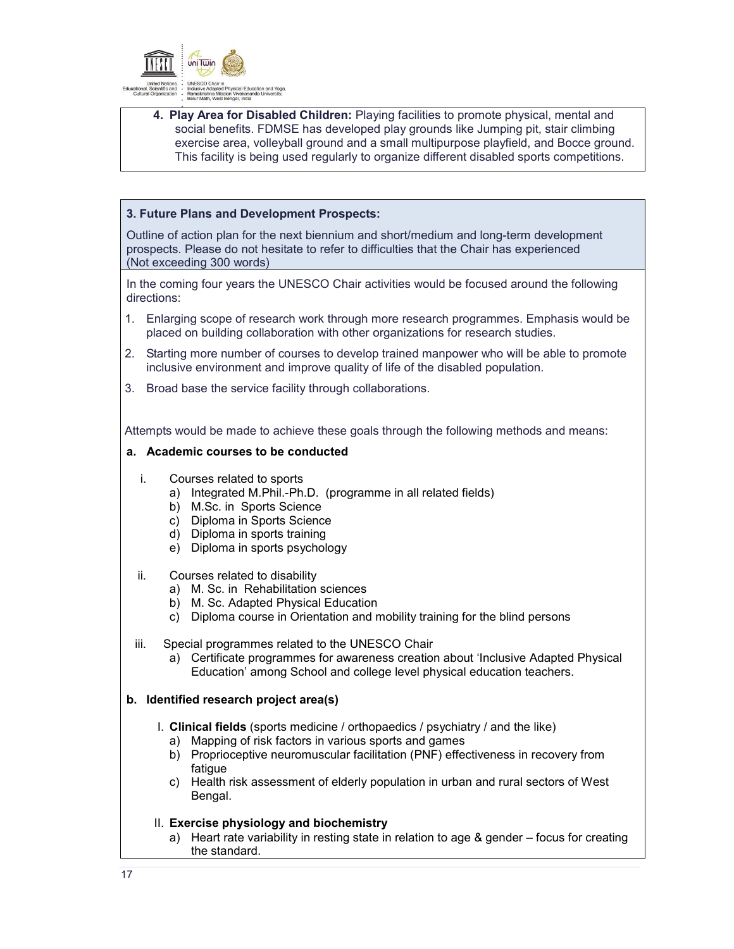

**4. Play Area for Disabled Children:** Playing facilities to promote physical, mental and social benefits. FDMSE has developed play grounds like Jumping pit, stair climbing exercise area, volleyball ground and a small multipurpose playfield, and Bocce ground. This facility is being used regularly to organize different disabled sports competitions.

### **3. Future Plans and Development Prospects:**

Outline of action plan for the next biennium and short/medium and long-term development prospects. Please do not hesitate to refer to difficulties that the Chair has experienced (Not exceeding 300 words)

In the coming four years the UNESCO Chair activities would be focused around the following directions:

- 1. Enlarging scope of research work through more research programmes. Emphasis would be placed on building collaboration with other organizations for research studies.
- 2. Starting more number of courses to develop trained manpower who will be able to promote inclusive environment and improve quality of life of the disabled population.
- 3. Broad base the service facility through collaborations.

Attempts would be made to achieve these goals through the following methods and means:

### **a. Academic courses to be conducted**

- i. Courses related to sports
	- a) Integrated M.Phil.-Ph.D. (programme in all related fields)
	- b) M.Sc. in Sports Science
	- c) Diploma in Sports Science
	- d) Diploma in sports training
	- e) Diploma in sports psychology
- ii. Courses related to disability
	- a) M. Sc. in Rehabilitation sciences
	- b) M. Sc. Adapted Physical Education
	- c) Diploma course in Orientation and mobility training for the blind persons
- iii. Special programmes related to the UNESCO Chair
	- a) Certificate programmes for awareness creation about 'Inclusive Adapted Physical Education' among School and college level physical education teachers.

# **b. Identified research project area(s)**

- I. **Clinical fields** (sports medicine / orthopaedics / psychiatry / and the like)
	- a) Mapping of risk factors in various sports and games
	- b) Proprioceptive neuromuscular facilitation (PNF) effectiveness in recovery from fatigue
	- c) Health risk assessment of elderly population in urban and rural sectors of West Bengal.
- II. **Exercise physiology and biochemistry** 
	- a) Heart rate variability in resting state in relation to age & gender focus for creating the standard.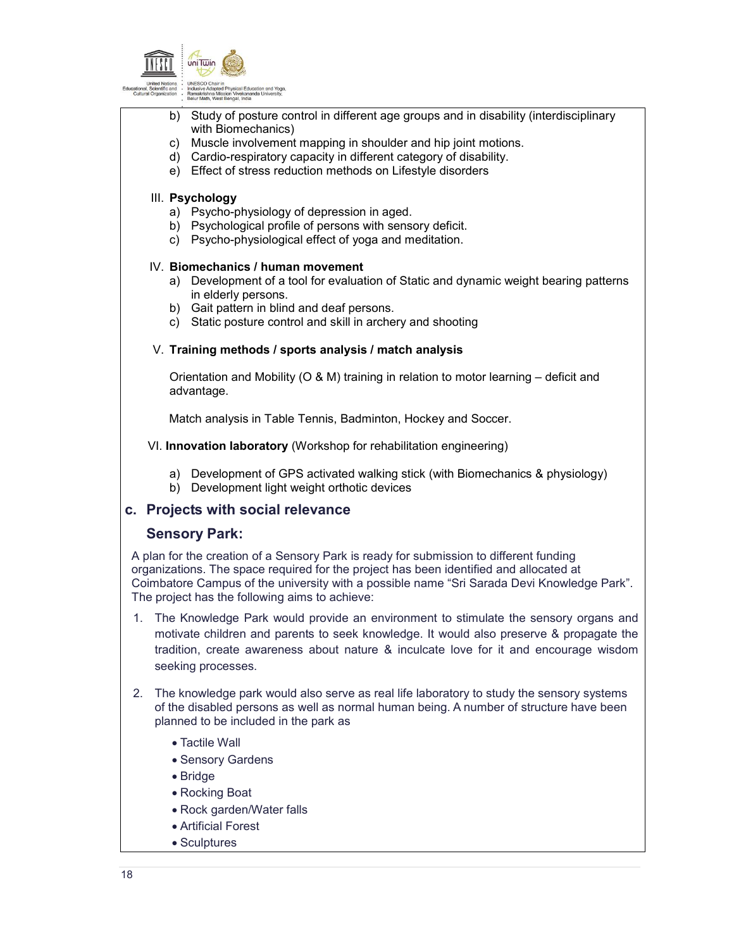

- b) Study of posture control in different age groups and in disability (interdisciplinary with Biomechanics)
- c) Muscle involvement mapping in shoulder and hip joint motions.
- d) Cardio-respiratory capacity in different category of disability.
- e) Effect of stress reduction methods on Lifestyle disorders

# III. **Psychology**

- a) Psycho-physiology of depression in aged.
- b) Psychological profile of persons with sensory deficit.
- c) Psycho-physiological effect of yoga and meditation.

# IV. **Biomechanics / human movement**

- a) Development of a tool for evaluation of Static and dynamic weight bearing patterns in elderly persons.
- b) Gait pattern in blind and deaf persons.
- c) Static posture control and skill in archery and shooting

# V. **Training methods / sports analysis / match analysis**

Orientation and Mobility ( $O$  & M) training in relation to motor learning – deficit and advantage.

Match analysis in Table Tennis, Badminton, Hockey and Soccer.

VI. **Innovation laboratory** (Workshop for rehabilitation engineering)

- a) Development of GPS activated walking stick (with Biomechanics & physiology)
- b) Development light weight orthotic devices

# **c. Projects with social relevance**

# **Sensory Park:**

A plan for the creation of a Sensory Park is ready for submission to different funding organizations. The space required for the project has been identified and allocated at Coimbatore Campus of the university with a possible name "Sri Sarada Devi Knowledge Park". The project has the following aims to achieve:

- 1. The Knowledge Park would provide an environment to stimulate the sensory organs and motivate children and parents to seek knowledge. It would also preserve & propagate the tradition, create awareness about nature & inculcate love for it and encourage wisdom seeking processes.
- 2. The knowledge park would also serve as real life laboratory to study the sensory systems of the disabled persons as well as normal human being. A number of structure have been planned to be included in the park as
	- Tactile Wall
	- Sensory Gardens
	- Bridge
	- Rocking Boat
	- Rock garden/Water falls
	- Artificial Forest
	- Sculptures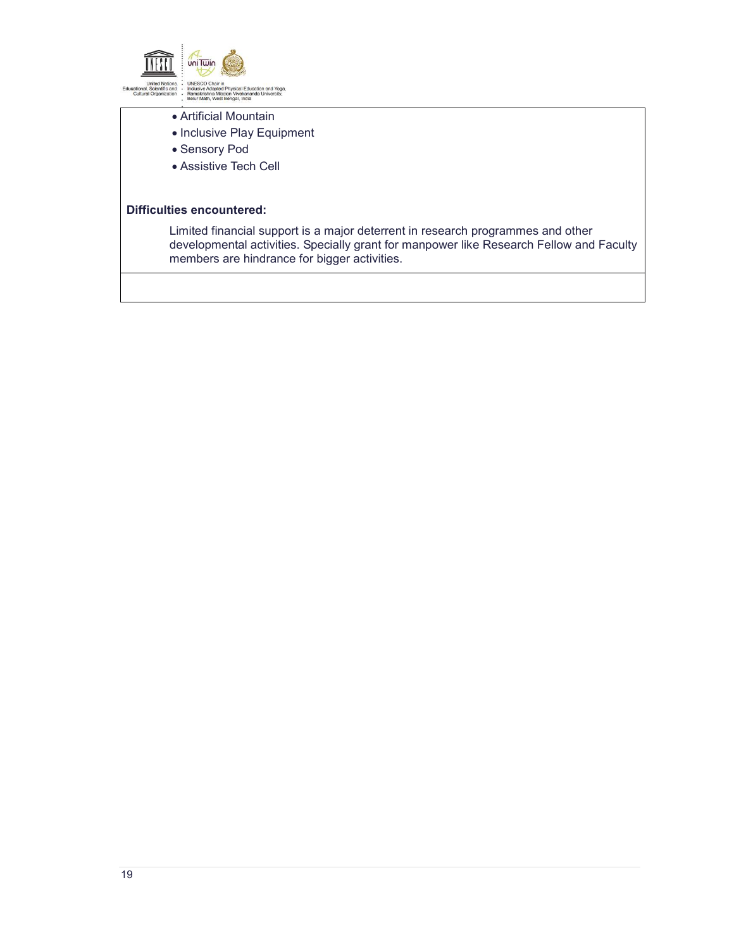

- Artificial Mountain
- Inclusive Play Equipment
- Sensory Pod
- Assistive Tech Cell

#### **Difficulties encountered:**

Limited financial support is a major deterrent in research programmes and other developmental activities. Specially grant for manpower like Research Fellow and Faculty members are hindrance for bigger activities.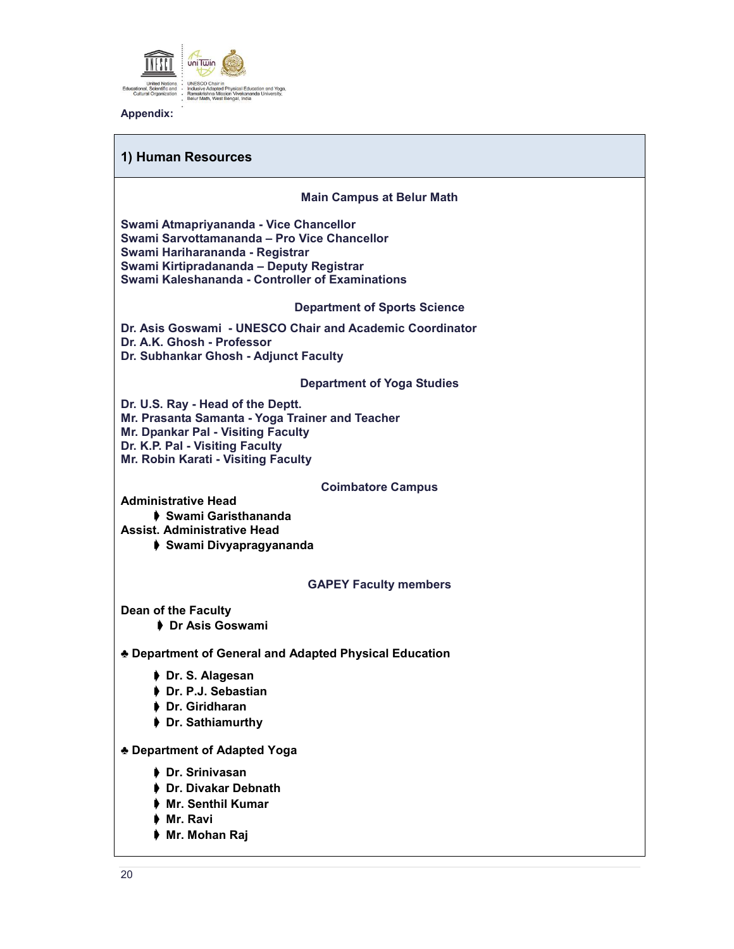

**Appendix:**

# **1) Human Resources**

**Main Campus at Belur Math**

**Swami Atmapriyananda - Vice Chancellor Swami Sarvottamananda – Pro Vice Chancellor Swami Hariharananda - Registrar Swami Kirtipradananda – Deputy Registrar Swami Kaleshananda - Controller of Examinations**

**Department of Sports Science**

**Dr. Asis Goswami - UNESCO Chair and Academic Coordinator Dr. A.K. Ghosh - Professor Dr. Subhankar Ghosh - Adjunct Faculty**

**Department of Yoga Studies**

**Dr. U.S. Ray - Head of the Deptt. Mr. Prasanta Samanta - Yoga Trainer and Teacher Mr. Dpankar Pal - Visiting Faculty Dr. K.P. Pal - Visiting Faculty Mr. Robin Karati - Visiting Faculty**

#### **Coimbatore Campus**

**Administrative Head**

➧ **Swami Garisthananda**

**Assist. Administrative Head**

➧ **Swami Divyapragyananda**

#### **GAPEY Faculty members**

**Dean of the Faculty**

➧ **Dr Asis Goswami**

**♣ Department of General and Adapted Physical Education**

- ➧ **Dr. S. Alagesan**
- ➧ **Dr. P.J. Sebastian**
- ➧ **Dr. Giridharan**
- ➧ **Dr. Sathiamurthy**

**♣ Department of Adapted Yoga**

- ➧ **Dr. Srinivasan**
- ➧ **Dr. Divakar Debnath**
- ➧ **Mr. Senthil Kumar**
- ➧ **Mr. Ravi**
- ➧ **Mr. Mohan Raj**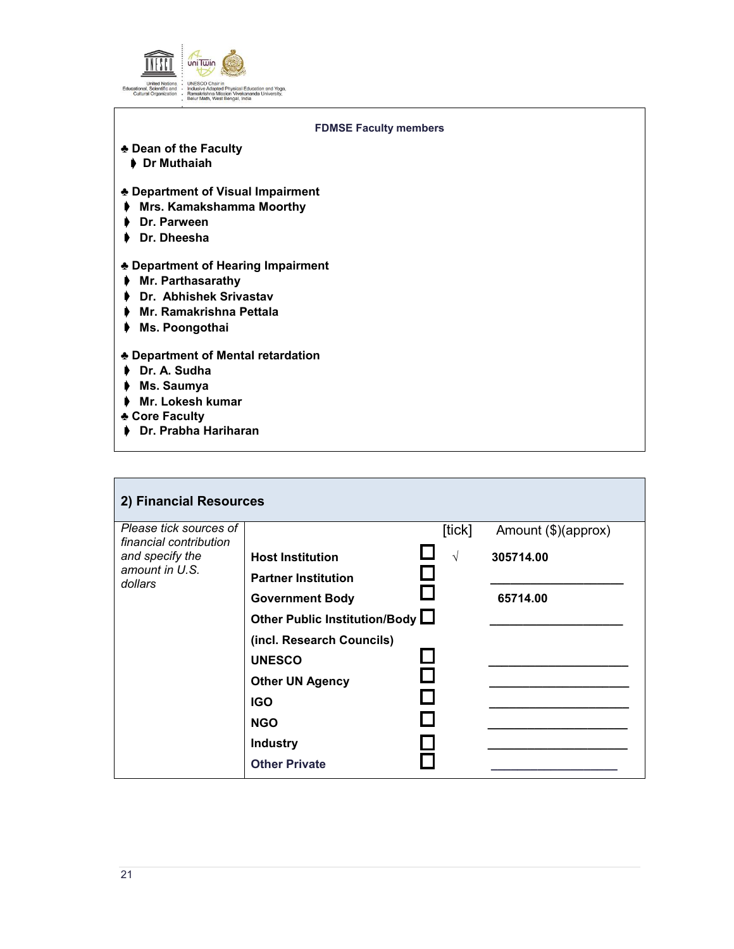

| <b>FDMSE Faculty members</b>                                                                                                     |  |
|----------------------------------------------------------------------------------------------------------------------------------|--|
| ♣ Dean of the Faculty<br>▶ Dr Muthaiah                                                                                           |  |
| ♣ Department of Visual Impairment<br>Mrs. Kamakshamma Moorthy<br>₽<br>Dr. Parween<br>Dr. Dheesha                                 |  |
| ♣ Department of Hearing Impairment<br>♦ Mr. Parthasarathy<br>Dr. Abhishek Srivastav<br>Mr. Ramakrishna Pettala<br>Ms. Poongothai |  |
| ♣ Department of Mental retardation<br>Dr. A. Sudha<br>Ms. Saumya<br>Mr. Lokesh kumar<br>♣ Core Faculty<br>▶ Dr. Prabha Hariharan |  |

| 2) Financial Resources                                                                           |                                                                                                                                                                                                          |                      |                                              |
|--------------------------------------------------------------------------------------------------|----------------------------------------------------------------------------------------------------------------------------------------------------------------------------------------------------------|----------------------|----------------------------------------------|
| Please tick sources of<br>financial contribution<br>and specify the<br>amount in U.S.<br>dollars | <b>Host Institution</b><br><b>Partner Institution</b><br><b>Government Body</b><br>Other Public Institution/Body L<br>(incl. Research Councils)<br><b>UNESCO</b><br><b>Other UN Agency</b><br><b>IGO</b> | [tick]<br>$\sqrt{ }$ | Amount (\$)(approx)<br>305714.00<br>65714.00 |
|                                                                                                  | <b>NGO</b><br><b>Industry</b><br><b>Other Private</b>                                                                                                                                                    |                      |                                              |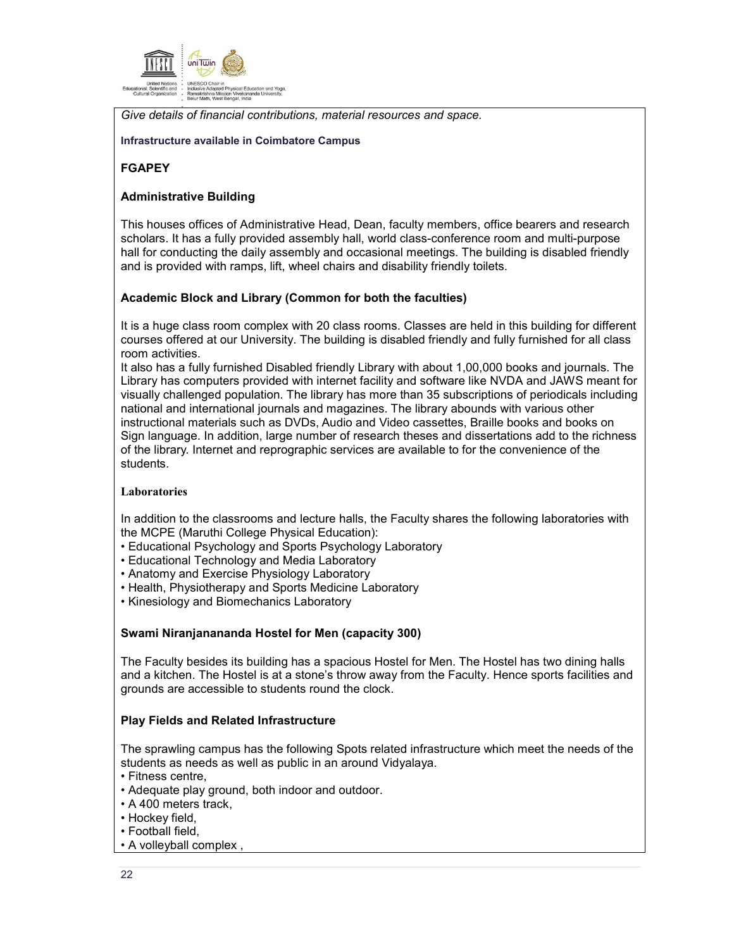

*Give details of financial contributions, material resources and space.* 

#### **Infrastructure available in Coimbatore Campus**

### **FGAPEY**

### **Administrative Building**

This houses offices of Administrative Head, Dean, faculty members, office bearers and research scholars. It has a fully provided assembly hall, world class-conference room and multi-purpose hall for conducting the daily assembly and occasional meetings. The building is disabled friendly and is provided with ramps, lift, wheel chairs and disability friendly toilets.

### **Academic Block and Library (Common for both the faculties)**

It is a huge class room complex with 20 class rooms. Classes are held in this building for different courses offered at our University. The building is disabled friendly and fully furnished for all class room activities.

It also has a fully furnished Disabled friendly Library with about 1,00,000 books and journals. The Library has computers provided with internet facility and software like NVDA and JAWS meant for visually challenged population. The library has more than 35 subscriptions of periodicals including national and international journals and magazines. The library abounds with various other instructional materials such as DVDs, Audio and Video cassettes, Braille books and books on Sign language. In addition, large number of research theses and dissertations add to the richness of the library. Internet and reprographic services are available to for the convenience of the students.

#### **Laboratories**

In addition to the classrooms and lecture halls, the Faculty shares the following laboratories with the MCPE (Maruthi College Physical Education):

- Educational Psychology and Sports Psychology Laboratory
- Educational Technology and Media Laboratory
- Anatomy and Exercise Physiology Laboratory
- Health, Physiotherapy and Sports Medicine Laboratory
- Kinesiology and Biomechanics Laboratory

#### **Swami Niranjanananda Hostel for Men (capacity 300)**

The Faculty besides its building has a spacious Hostel for Men. The Hostel has two dining halls and a kitchen. The Hostel is at a stone's throw away from the Faculty. Hence sports facilities and grounds are accessible to students round the clock.

#### **Play Fields and Related Infrastructure**

The sprawling campus has the following Spots related infrastructure which meet the needs of the students as needs as well as public in an around Vidyalaya.

- Fitness centre,
- Adequate play ground, both indoor and outdoor.
- A 400 meters track,
- Hockey field,
- Football field,
- A volleyball complex ,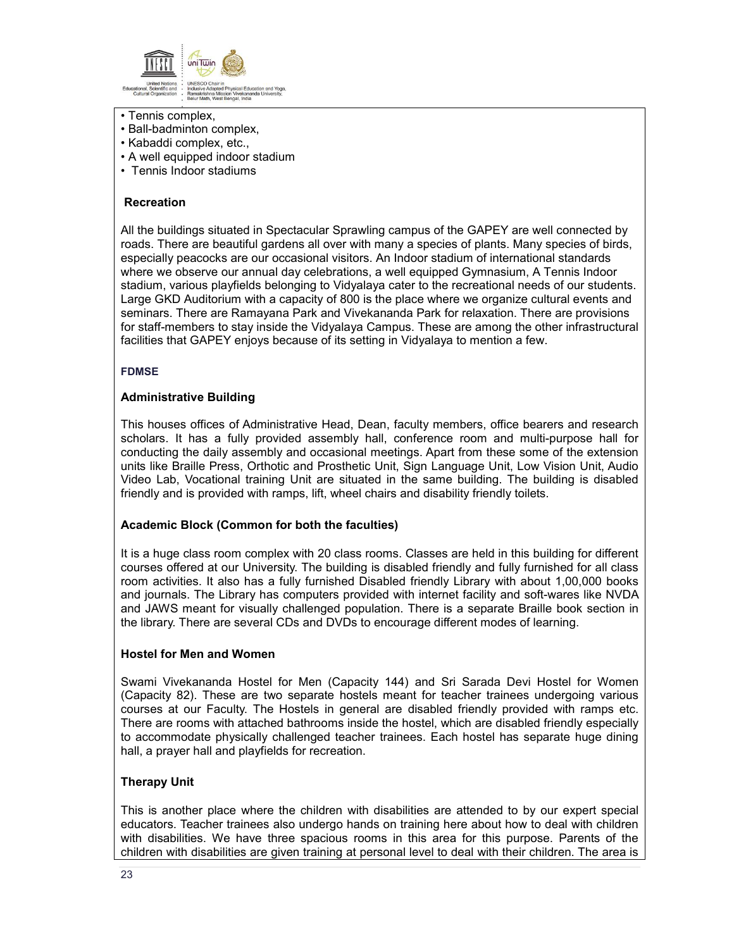

- Tennis complex,
- Ball-badminton complex,
- Kabaddi complex, etc.,
- A well equipped indoor stadium
- Tennis Indoor stadiums

### **Recreation**

All the buildings situated in Spectacular Sprawling campus of the GAPEY are well connected by roads. There are beautiful gardens all over with many a species of plants. Many species of birds, especially peacocks are our occasional visitors. An Indoor stadium of international standards where we observe our annual day celebrations, a well equipped Gymnasium, A Tennis Indoor stadium, various playfields belonging to Vidyalaya cater to the recreational needs of our students. Large GKD Auditorium with a capacity of 800 is the place where we organize cultural events and seminars. There are Ramayana Park and Vivekananda Park for relaxation. There are provisions for staff-members to stay inside the Vidyalaya Campus. These are among the other infrastructural facilities that GAPEY enjoys because of its setting in Vidyalaya to mention a few.

### **FDMSE**

### **Administrative Building**

This houses offices of Administrative Head, Dean, faculty members, office bearers and research scholars. It has a fully provided assembly hall, conference room and multi-purpose hall for conducting the daily assembly and occasional meetings. Apart from these some of the extension units like Braille Press, Orthotic and Prosthetic Unit, Sign Language Unit, Low Vision Unit, Audio Video Lab, Vocational training Unit are situated in the same building. The building is disabled friendly and is provided with ramps, lift, wheel chairs and disability friendly toilets.

# **Academic Block (Common for both the faculties)**

It is a huge class room complex with 20 class rooms. Classes are held in this building for different courses offered at our University. The building is disabled friendly and fully furnished for all class room activities. It also has a fully furnished Disabled friendly Library with about 1,00,000 books and journals. The Library has computers provided with internet facility and soft-wares like NVDA and JAWS meant for visually challenged population. There is a separate Braille book section in the library. There are several CDs and DVDs to encourage different modes of learning.

#### **Hostel for Men and Women**

Swami Vivekananda Hostel for Men (Capacity 144) and Sri Sarada Devi Hostel for Women (Capacity 82). These are two separate hostels meant for teacher trainees undergoing various courses at our Faculty. The Hostels in general are disabled friendly provided with ramps etc. There are rooms with attached bathrooms inside the hostel, which are disabled friendly especially to accommodate physically challenged teacher trainees. Each hostel has separate huge dining hall, a prayer hall and playfields for recreation.

# **Therapy Unit**

This is another place where the children with disabilities are attended to by our expert special educators. Teacher trainees also undergo hands on training here about how to deal with children with disabilities. We have three spacious rooms in this area for this purpose. Parents of the children with disabilities are given training at personal level to deal with their children. The area is